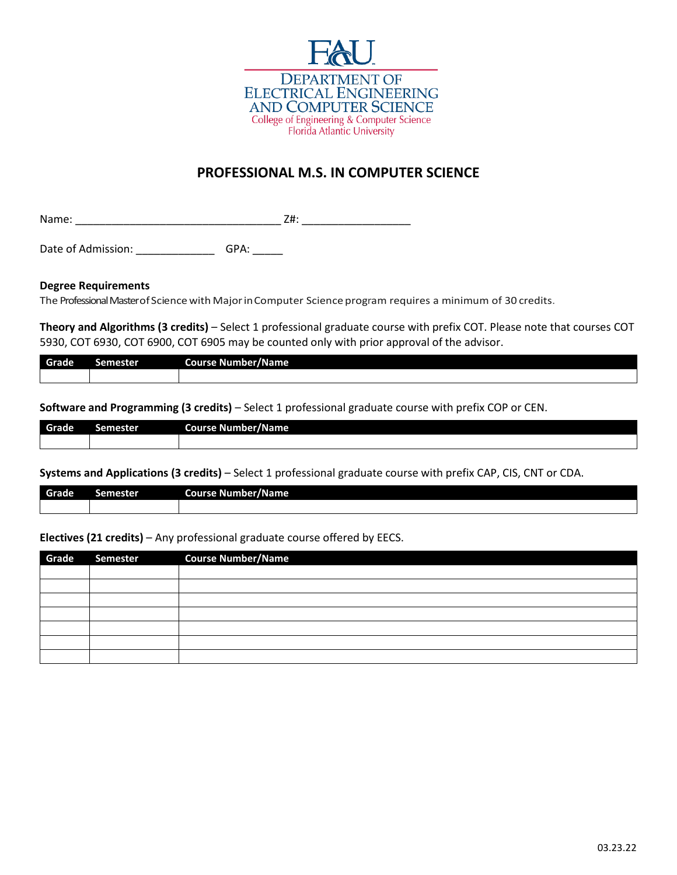

# **PROFESSIONAL M.S. IN COMPUTER SCIENCE**

Name: \_\_\_\_\_\_\_\_\_\_\_\_\_\_\_\_\_\_\_\_\_\_\_\_\_\_\_\_\_\_\_\_\_\_ Z#: \_\_\_\_\_\_\_\_\_\_\_\_\_\_\_\_\_\_

Date of Admission: \_\_\_\_\_\_\_\_\_\_\_\_\_\_\_\_\_\_\_\_\_\_\_\_GPA: \_\_\_\_\_\_\_

#### **Degree Requirements**

The Professional Master of Science with Major in Computer Science program requires a minimum of 30 credits.

**Theory and Algorithms (3 credits)** – Select 1 professional graduate course with prefix COT. Please note that courses COT 5930, COT 6930, COT 6900, COT 6905 may be counted only with prior approval of the advisor.

| Grade | $\sim$<br>лы | <b>Course Number/Name</b> |
|-------|--------------|---------------------------|
|       |              |                           |

**Software and Programming (3 credits)** – Select 1 professional graduate course with prefix COP or CEN.

| Grade | Semester. | .<br>--<br>Course Number/Name |
|-------|-----------|-------------------------------|
|       |           |                               |

**Systems and Applications (3 credits)** – Select 1 professional graduate course with prefix CAP, CIS, CNT or CDA.

| Grade | 15. | --<br>Course Number/1<br>7Name i |
|-------|-----|----------------------------------|
|       |     |                                  |

**Electives (21 credits)** – Any professional graduate course offered by EECS.

| Grade | Semester Course Number/Name |
|-------|-----------------------------|
|       |                             |
|       |                             |
|       |                             |
|       |                             |
|       |                             |
|       |                             |
|       |                             |